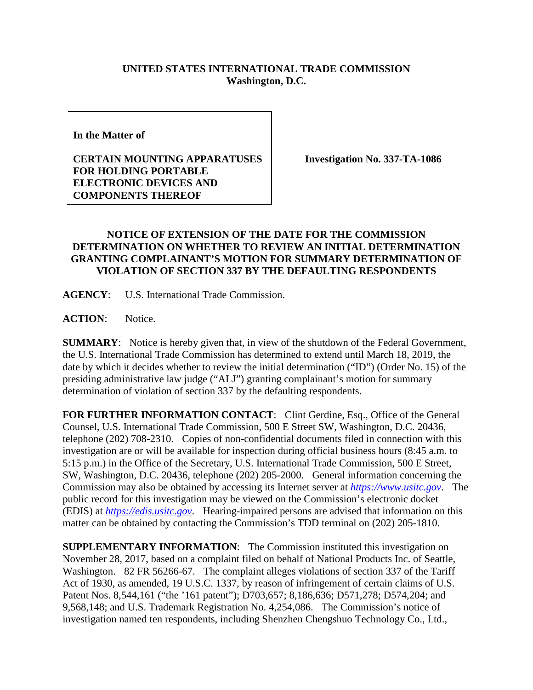## **UNITED STATES INTERNATIONAL TRADE COMMISSION Washington, D.C.**

**In the Matter of** 

## **CERTAIN MOUNTING APPARATUSES FOR HOLDING PORTABLE ELECTRONIC DEVICES AND COMPONENTS THEREOF**

**Investigation No. 337-TA-1086**

## **NOTICE OF EXTENSION OF THE DATE FOR THE COMMISSION DETERMINATION ON WHETHER TO REVIEW AN INITIAL DETERMINATION GRANTING COMPLAINANT'S MOTION FOR SUMMARY DETERMINATION OF VIOLATION OF SECTION 337 BY THE DEFAULTING RESPONDENTS**

**AGENCY**: U.S. International Trade Commission.

**ACTION**: Notice.

**SUMMARY:** Notice is hereby given that, in view of the shutdown of the Federal Government, the U.S. International Trade Commission has determined to extend until March 18, 2019, the date by which it decides whether to review the initial determination ("ID") (Order No. 15) of the presiding administrative law judge ("ALJ") granting complainant's motion for summary determination of violation of section 337 by the defaulting respondents.

FOR FURTHER INFORMATION CONTACT: Clint Gerdine, Esq., Office of the General Counsel, U.S. International Trade Commission, 500 E Street SW, Washington, D.C. 20436, telephone (202) 708-2310. Copies of non-confidential documents filed in connection with this investigation are or will be available for inspection during official business hours (8:45 a.m. to 5:15 p.m.) in the Office of the Secretary, U.S. International Trade Commission, 500 E Street, SW, Washington, D.C. 20436, telephone (202) 205-2000. General information concerning the Commission may also be obtained by accessing its Internet server at *[https://www.usitc.gov](https://www.usitc.gov/)*. The public record for this investigation may be viewed on the Commission's electronic docket (EDIS) at *[https://edis.usitc.gov](https://edis.usitc.gov/)*. Hearing-impaired persons are advised that information on this matter can be obtained by contacting the Commission's TDD terminal on (202) 205-1810.

**SUPPLEMENTARY INFORMATION:** The Commission instituted this investigation on November 28, 2017, based on a complaint filed on behalf of National Products Inc. of Seattle, Washington. 82 FR 56266-67. The complaint alleges violations of section 337 of the Tariff Act of 1930, as amended, 19 U.S.C. 1337, by reason of infringement of certain claims of U.S. Patent Nos. 8,544,161 ("the '161 patent"); D703,657; 8,186,636; D571,278; D574,204; and 9,568,148; and U.S. Trademark Registration No. 4,254,086. The Commission's notice of investigation named ten respondents, including Shenzhen Chengshuo Technology Co., Ltd.,